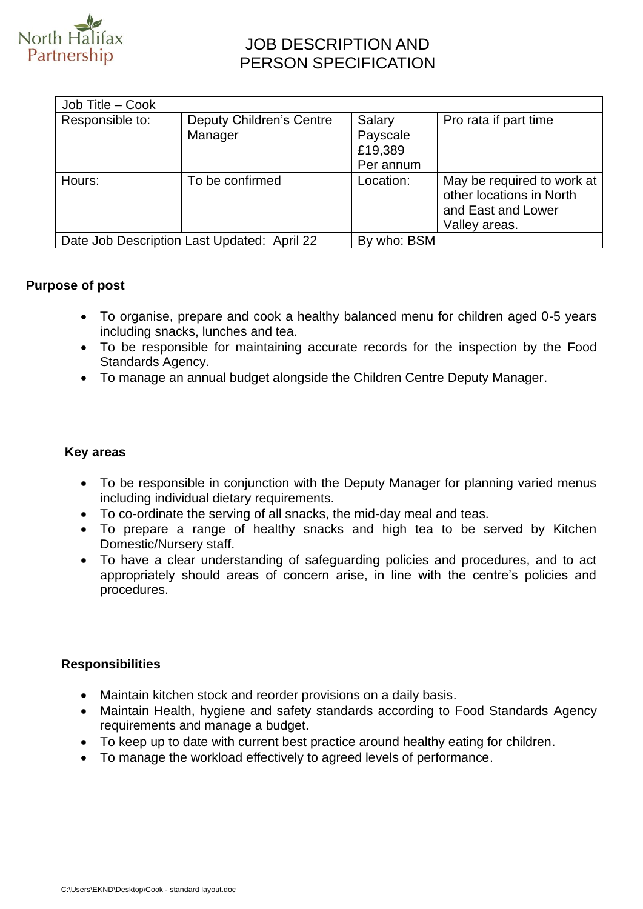

# JOB DESCRIPTION AND PERSON SPECIFICATION

| Responsible to:                             | <b>Deputy Children's Centre</b><br>Manager | Salary<br>Payscale<br>£19,389<br>Per annum | Pro rata if part time                                                                         |
|---------------------------------------------|--------------------------------------------|--------------------------------------------|-----------------------------------------------------------------------------------------------|
| Hours:                                      | To be confirmed                            | Location:                                  | May be required to work at<br>other locations in North<br>and East and Lower<br>Valley areas. |
| Date Job Description Last Updated: April 22 |                                            | By who: BSM                                |                                                                                               |

# **Purpose of post**

- To organise, prepare and cook a healthy balanced menu for children aged 0-5 years including snacks, lunches and tea.
- To be responsible for maintaining accurate records for the inspection by the Food Standards Agency.
- To manage an annual budget alongside the Children Centre Deputy Manager.

## **Key areas**

- To be responsible in conjunction with the Deputy Manager for planning varied menus including individual dietary requirements.
- To co-ordinate the serving of all snacks, the mid-day meal and teas.
- To prepare a range of healthy snacks and high tea to be served by Kitchen Domestic/Nursery staff.
- To have a clear understanding of safeguarding policies and procedures, and to act appropriately should areas of concern arise, in line with the centre's policies and procedures.

#### **Responsibilities**

- Maintain kitchen stock and reorder provisions on a daily basis.
- Maintain Health, hygiene and safety standards according to Food Standards Agency requirements and manage a budget.
- To keep up to date with current best practice around healthy eating for children.
- To manage the workload effectively to agreed levels of performance.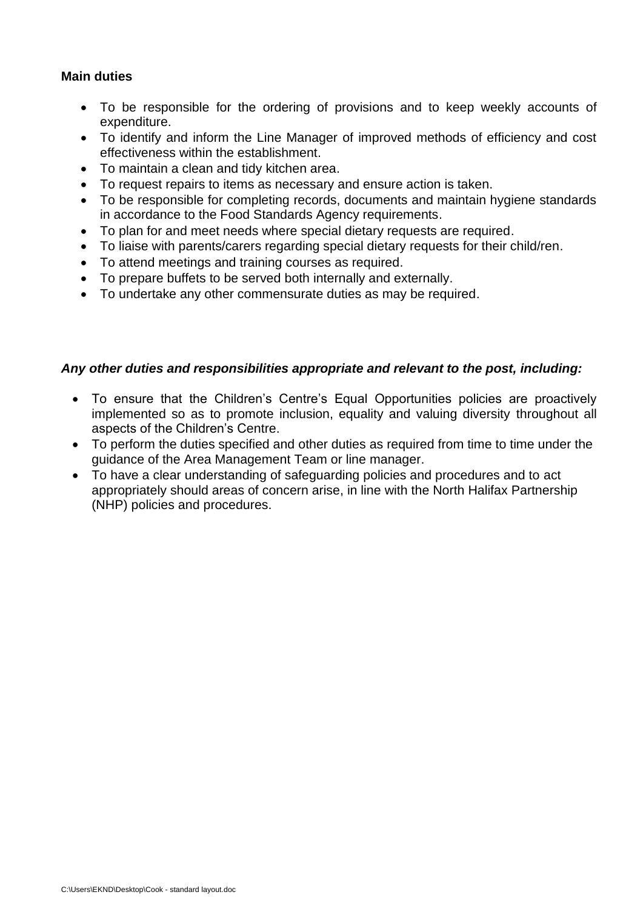# **Main duties**

- To be responsible for the ordering of provisions and to keep weekly accounts of expenditure.
- To identify and inform the Line Manager of improved methods of efficiency and cost effectiveness within the establishment.
- To maintain a clean and tidy kitchen area.
- To request repairs to items as necessary and ensure action is taken.
- To be responsible for completing records, documents and maintain hygiene standards in accordance to the Food Standards Agency requirements.
- To plan for and meet needs where special dietary requests are required.
- To liaise with parents/carers regarding special dietary requests for their child/ren.
- To attend meetings and training courses as required.
- To prepare buffets to be served both internally and externally.
- To undertake any other commensurate duties as may be required.

#### *Any other duties and responsibilities appropriate and relevant to the post, including:*

- To ensure that the Children's Centre's Equal Opportunities policies are proactively implemented so as to promote inclusion, equality and valuing diversity throughout all aspects of the Children's Centre.
- To perform the duties specified and other duties as required from time to time under the guidance of the Area Management Team or line manager.
- To have a clear understanding of safeguarding policies and procedures and to act appropriately should areas of concern arise, in line with the North Halifax Partnership (NHP) policies and procedures.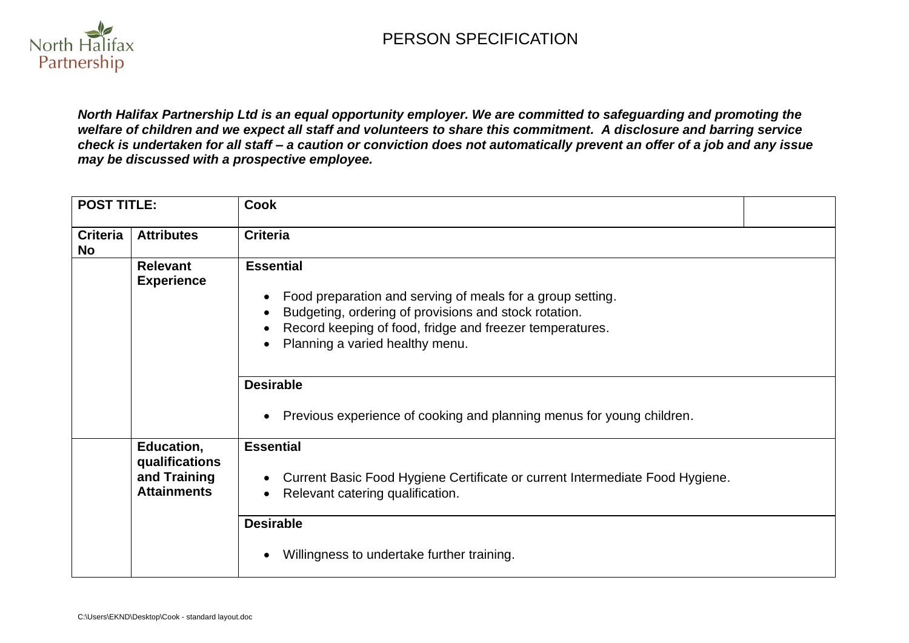

*North Halifax Partnership Ltd is an equal opportunity employer. We are committed to safeguarding and promoting the welfare of children and we expect all staff and volunteers to share this commitment. A disclosure and barring service check is undertaken for all staff – a caution or conviction does not automatically prevent an offer of a job and any issue may be discussed with a prospective employee.*

| <b>POST TITLE:</b>           |                                                                    | <b>Cook</b>                                                                                                                                                                                                                                                                                                                         |
|------------------------------|--------------------------------------------------------------------|-------------------------------------------------------------------------------------------------------------------------------------------------------------------------------------------------------------------------------------------------------------------------------------------------------------------------------------|
| <b>Criteria</b><br><b>No</b> | <b>Attributes</b>                                                  | <b>Criteria</b>                                                                                                                                                                                                                                                                                                                     |
|                              | <b>Relevant</b><br><b>Experience</b>                               | <b>Essential</b><br>Food preparation and serving of meals for a group setting.<br>Budgeting, ordering of provisions and stock rotation.<br>Record keeping of food, fridge and freezer temperatures.<br>Planning a varied healthy menu.<br><b>Desirable</b><br>Previous experience of cooking and planning menus for young children. |
|                              | Education,<br>qualifications<br>and Training<br><b>Attainments</b> | <b>Essential</b><br>Current Basic Food Hygiene Certificate or current Intermediate Food Hygiene.<br>Relevant catering qualification.<br><b>Desirable</b><br>Willingness to undertake further training.                                                                                                                              |